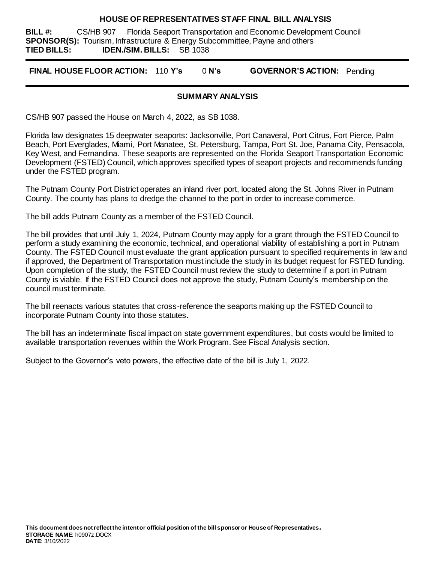#### **HOUSE OF REPRESENTATIVES STAFF FINAL BILL ANALYSIS**

**BILL #:** CS/HB 907 Florida Seaport Transportation and Economic Development Council **SPONSOR(S):** Tourism, Infrastructure & Energy Subcommittee, Payne and others **TIED BILLS: IDEN./SIM. BILLS:** SB 1038

**FINAL HOUSE FLOOR ACTION:** 110 **Y's** 0 **N's GOVERNOR'S ACTION:** Pending

### **SUMMARY ANALYSIS**

CS/HB 907 passed the House on March 4, 2022, as SB 1038.

Florida law designates 15 deepwater seaports: Jacksonville, Port Canaveral, Port Citrus, Fort Pierce, Palm Beach, Port Everglades, Miami, Port Manatee, St. Petersburg, Tampa, Port St. Joe, Panama City, Pensacola, Key West, and Fernandina. These seaports are represented on the Florida Seaport Transportation Economic Development (FSTED) Council, which approves specified types of seaport projects and recommends funding under the FSTED program.

The Putnam County Port District operates an inland river port, located along the St. Johns River in Putnam County. The county has plans to dredge the channel to the port in order to increase commerce.

The bill adds Putnam County as a member of the FSTED Council.

The bill provides that until July 1, 2024, Putnam County may apply for a grant through the FSTED Council to perform a study examining the economic, technical, and operational viability of establishing a port in Putnam County. The FSTED Council must evaluate the grant application pursuant to specified requirements in law and if approved, the Department of Transportation must include the study in its budget request for FSTED funding. Upon completion of the study, the FSTED Council must review the study to determine if a port in Putnam County is viable. If the FSTED Council does not approve the study, Putnam County's membership on the council must terminate.

The bill reenacts various statutes that cross-reference the seaports making up the FSTED Council to incorporate Putnam County into those statutes.

The bill has an indeterminate fiscal impact on state government expenditures, but costs would be limited to available transportation revenues within the Work Program. See Fiscal Analysis section.

Subject to the Governor's veto powers, the effective date of the bill is July 1, 2022.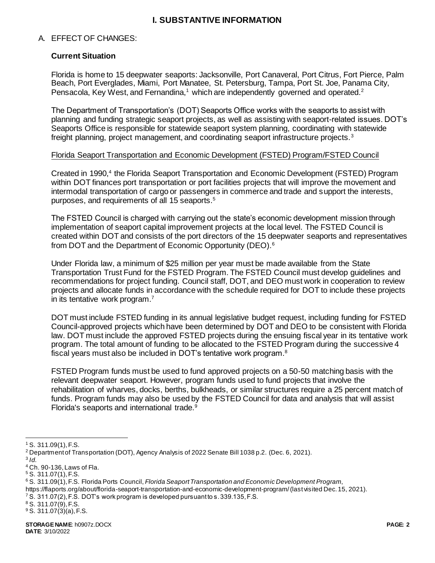## **I. SUBSTANTIVE INFORMATION**

#### A. EFFECT OF CHANGES:

### **Current Situation**

Florida is home to 15 deepwater seaports: Jacksonville, Port Canaveral, Port Citrus, Fort Pierce, Palm Beach, Port Everglades, Miami, Port Manatee, St. Petersburg, Tampa, Port St. Joe, Panama City, Pensacola, Key West, and Fernandina,<sup>1</sup> which are independently governed and operated.<sup>2</sup>

The Department of Transportation's (DOT) Seaports Office works with the seaports to assist with planning and funding strategic seaport projects, as well as assisting with seaport-related issues. DOT's Seaports Office is responsible for statewide seaport system planning, coordinating with statewide freight planning, project management, and coordinating seaport infrastructure projects.<sup>3</sup>

#### Florida Seaport Transportation and Economic Development (FSTED) Program/FSTED Council

Created in 1990,<sup>4</sup> the Florida Seaport Transportation and Economic Development (FSTED) Program within DOT finances port transportation or port facilities projects that will improve the movement and intermodal transportation of cargo or passengers in commerce and trade and support the interests, purposes, and requirements of all 15 seaports.<sup>5</sup>

The FSTED Council is charged with carrying out the state's economic development mission through implementation of seaport capital improvement projects at the local level. The FSTED Council is created within DOT and consists of the port directors of the 15 deepwater seaports and representatives from DOT and the Department of Economic Opportunity (DEO).<sup>6</sup>

Under Florida law, a minimum of \$25 million per year must be made available from the State Transportation Trust Fund for the FSTED Program. The FSTED Council must develop guidelines and recommendations for project funding. Council staff, DOT, and DEO must work in cooperation to review projects and allocate funds in accordance with the schedule required for DOT to include these projects in its tentative work program.<sup>7</sup>

DOT must include FSTED funding in its annual legislative budget request, including funding for FSTED Council-approved projects which have been determined by DOT and DEO to be consistent with Florida law. DOT must include the approved FSTED projects during the ensuing fiscal year in its tentative work program. The total amount of funding to be allocated to the FSTED Program during the successive 4 fiscal years must also be included in DOT's tentative work program.<sup>8</sup>

FSTED Program funds must be used to fund approved projects on a 50-50 matching basis with the relevant deepwater seaport. However, program funds used to fund projects that involve the rehabilitation of wharves, docks, berths, bulkheads, or similar structures require a 25 percent match of funds. Program funds may also be used by the FSTED Council for data and analysis that will assist Florida's seaports and international trade.<sup>9</sup>

<sup>7</sup> S. 311.07(2), F.S. DOT's work program is developed pursuant to s. 339.135, F.S.

l <sup>1</sup> S. 311.09(1), F.S.

<sup>2</sup> Department of Transportation (DOT), Agency Analysis of 2022 Senate Bill 1038 p.2. (Dec. 6, 2021).

<sup>3</sup> *Id.*

<sup>4</sup> Ch. 90-136, Laws of Fla.

<sup>5</sup> S. 311.07(1), F.S.

<sup>6</sup> S. 311.09(1), F.S. Florida Ports Council, *Florida Seaport Transportation and Economic Development Program*,

https://flaports.org/about/florida-seaport-transportation-and-economic-development-program/ (last visited Dec. 15, 2021).

<sup>8</sup> S. 311.07(9), F.S.

 $9$  S. 311.07(3)(a), F.S.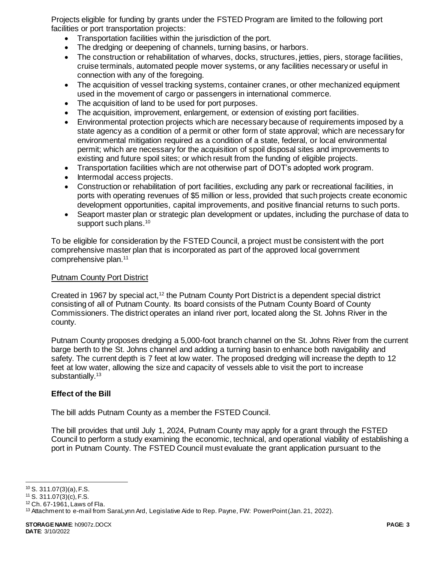Projects eligible for funding by grants under the FSTED Program are limited to the following port facilities or port transportation projects:

- Transportation facilities within the jurisdiction of the port.
- The dredging or deepening of channels, turning basins, or harbors.
- The construction or rehabilitation of wharves, docks, structures, jetties, piers, storage facilities, cruise terminals, automated people mover systems, or any facilities necessary or useful in connection with any of the foregoing.
- The acquisition of vessel tracking systems, container cranes, or other mechanized equipment used in the movement of cargo or passengers in international commerce.
- The acquisition of land to be used for port purposes.
- The acquisition, improvement, enlargement, or extension of existing port facilities.
- Environmental protection projects which are necessary because of requirements imposed by a state agency as a condition of a permit or other form of state approval; which are necessary for environmental mitigation required as a condition of a state, federal, or local environmental permit; which are necessary for the acquisition of spoil disposal sites and improvements to existing and future spoil sites; or which result from the funding of eligible projects.
- Transportation facilities which are not otherwise part of DOT's adopted work program.
- Intermodal access projects.
- Construction or rehabilitation of port facilities, excluding any park or recreational facilities, in ports with operating revenues of \$5 million or less, provided that such projects create economic development opportunities, capital improvements, and positive financial returns to such ports.
- Seaport master plan or strategic plan development or updates, including the purchase of data to support such plans.<sup>10</sup>

To be eligible for consideration by the FSTED Council, a project must be consistent with the port comprehensive master plan that is incorporated as part of the approved local government comprehensive plan.<sup>11</sup>

### Putnam County Port District

Created in 1967 by special act,<sup>12</sup> the Putnam County Port District is a dependent special district consisting of all of Putnam County. Its board consists of the Putnam County Board of County Commissioners. The district operates an inland river port, located along the St. Johns River in the county.

Putnam County proposes dredging a 5,000-foot branch channel on the St. Johns River from the current barge berth to the St. Johns channel and adding a turning basin to enhance both navigability and safety. The current depth is 7 feet at low water. The proposed dredging will increase the depth to 12 feet at low water, allowing the size and capacity of vessels able to visit the port to increase substantially.<sup>13</sup>

## **Effect of the Bill**

The bill adds Putnam County as a member the FSTED Council.

The bill provides that until July 1, 2024, Putnam County may apply for a grant through the FSTED Council to perform a study examining the economic, technical, and operational viability of establishing a port in Putnam County. The FSTED Council must evaluate the grant application pursuant to the

j  $10$  S. 311.07(3)(a), F.S.

<sup>11</sup> S. 311.07(3)(c), F.S.

<sup>12</sup> Ch. 67-1961, Laws of Fla.

<sup>&</sup>lt;sup>13</sup> Attachment to e-mail from SaraLynn Ard, Legislative Aide to Rep. Payne, FW: PowerPoint (Jan. 21, 2022).